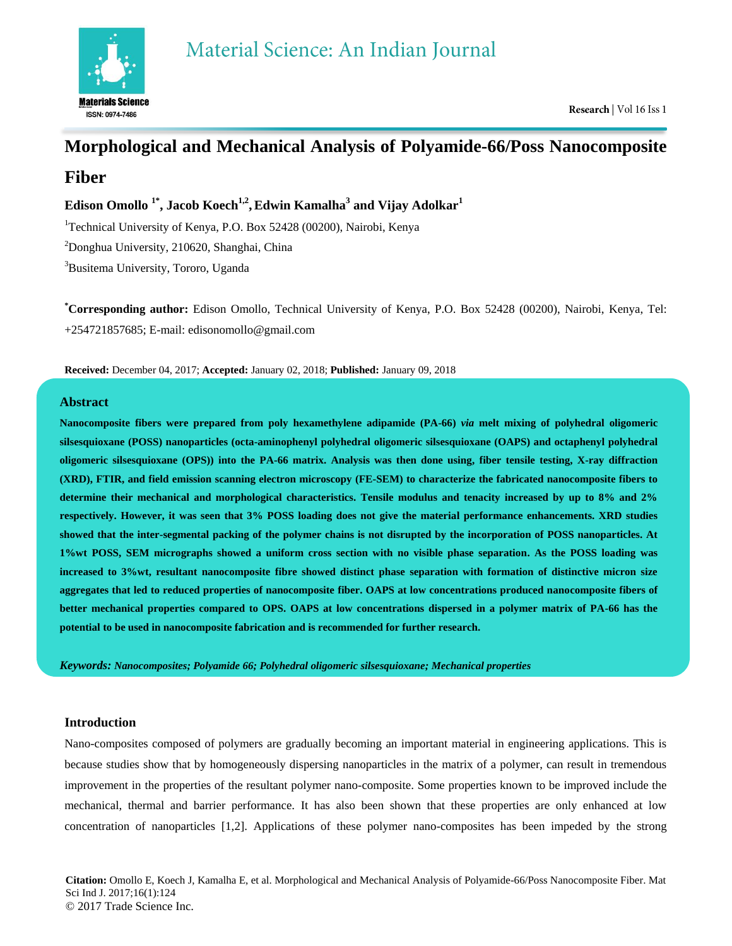

# **Morphological and Mechanical Analysis of Polyamide-66/Poss Nanocomposite Fiber**

**Edison Omollo 1\* , Jacob Koech1,2 ,Edwin Kamalha<sup>3</sup> and Vijay Adolkar<sup>1</sup>**

<sup>1</sup>Technical University of Kenya, P.O. Box 52428 (00200), Nairobi, Kenya

<sup>2</sup>Donghua University, 210620, Shanghai, China

<sup>3</sup>Busitema University, Tororo, Uganda

**\*Corresponding author:** Edison Omollo, Technical University of Kenya, P.O. Box 52428 (00200), Nairobi, Kenya, Tel: +254721857685; E-mail: edisonomollo@gmail.com

**Received:** December 04, 2017; **Accepted:** January 02, 2018; **Published:** January 09, 2018

## **Abstract**

**Nanocomposite fibers were prepared from poly hexamethylene adipamide (PA-66)** *via* **melt mixing of polyhedral oligomeric silsesquioxane (POSS) nanoparticles (octa-aminophenyl polyhedral oligomeric silsesquioxane (OAPS) and octaphenyl polyhedral oligomeric silsesquioxane (OPS)) into the PA-66 matrix. Analysis was then done using, fiber tensile testing, X-ray diffraction (XRD), FTIR, and field emission scanning electron microscopy (FE-SEM) to characterize the fabricated nanocomposite fibers to determine their mechanical and morphological characteristics. Tensile modulus and tenacity increased by up to 8% and 2% respectively. However, it was seen that 3% POSS loading does not give the material performance enhancements. XRD studies showed that the inter-segmental packing of the polymer chains is not disrupted by the incorporation of POSS nanoparticles. At 1%wt POSS, SEM micrographs showed a uniform cross section with no visible phase separation. As the POSS loading was increased to 3%wt, resultant nanocomposite fibre showed distinct phase separation with formation of distinctive micron size aggregates that led to reduced properties of nanocomposite fiber. OAPS at low concentrations produced nanocomposite fibers of better mechanical properties compared to OPS. OAPS at low concentrations dispersed in a polymer matrix of PA-66 has the potential to be used in nanocomposite fabrication and is recommended for further research.**

*Keywords: Nanocomposites; Polyamide 66; Polyhedral oligomeric silsesquioxane; Mechanical properties*

## **Introduction**

Nano-composites composed of polymers are gradually becoming an important material in engineering applications. This is because studies show that by homogeneously dispersing nanoparticles in the matrix of a polymer, can result in tremendous improvement in the properties of the resultant polymer nano-composite. Some properties known to be improved include the mechanical, thermal and barrier performance. It has also been shown that these properties are only enhanced at low concentration of nanoparticles [1,2]. Applications of these polymer nano-composites has been impeded by the strong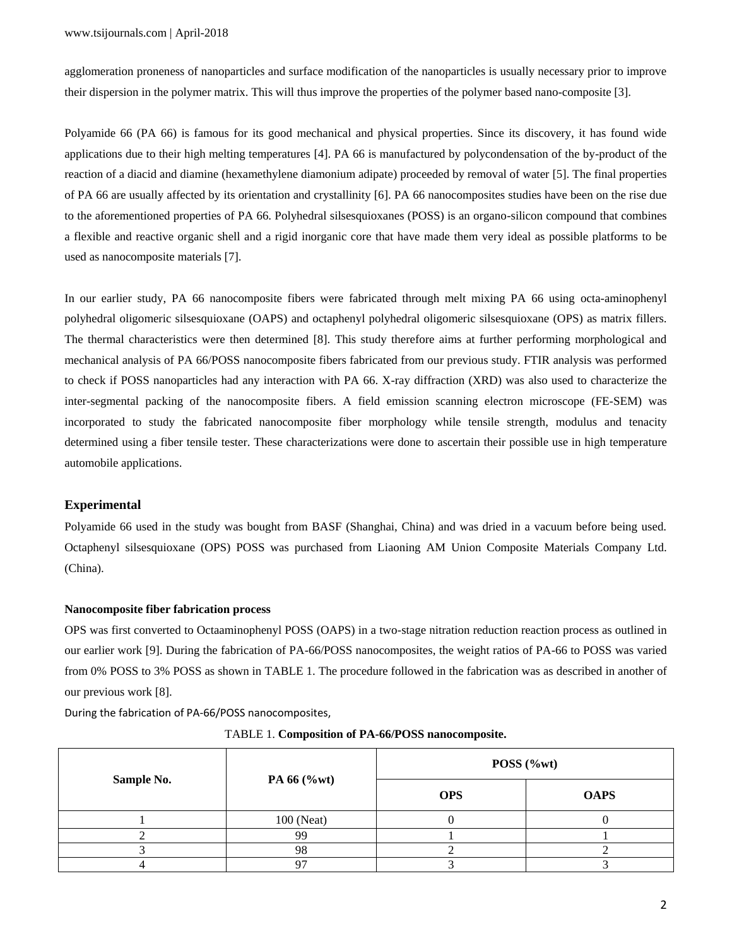agglomeration proneness of nanoparticles and surface modification of the nanoparticles is usually necessary prior to improve their dispersion in the polymer matrix. This will thus improve the properties of the polymer based nano-composite [3].

Polyamide 66 (PA 66) is famous for its good mechanical and physical properties. Since its discovery, it has found wide applications due to their high melting temperatures [4]. PA 66 is manufactured by polycondensation of the by-product of the reaction of a diacid and diamine (hexamethylene diamonium adipate) proceeded by removal of water [5]. The final properties of PA 66 are usually affected by its orientation and crystallinity [6]. PA 66 nanocomposites studies have been on the rise due to the aforementioned properties of PA 66. Polyhedral silsesquioxanes (POSS) is an organo-silicon compound that combines a flexible and reactive organic shell and a rigid inorganic core that have made them very ideal as possible platforms to be used as nanocomposite materials [7].

In our earlier study, PA 66 nanocomposite fibers were fabricated through melt mixing PA 66 using octa-aminophenyl polyhedral oligomeric silsesquioxane (OAPS) and octaphenyl polyhedral oligomeric silsesquioxane (OPS) as matrix fillers. The thermal characteristics were then determined [8]. This study therefore aims at further performing morphological and mechanical analysis of PA 66/POSS nanocomposite fibers fabricated from our previous study. FTIR analysis was performed to check if POSS nanoparticles had any interaction with PA 66. X-ray diffraction (XRD) was also used to characterize the inter-segmental packing of the nanocomposite fibers. A field emission scanning electron microscope (FE-SEM) was incorporated to study the fabricated nanocomposite fiber morphology while tensile strength, modulus and tenacity determined using a fiber tensile tester. These characterizations were done to ascertain their possible use in high temperature automobile applications.

## **Experimental**

Polyamide 66 used in the study was bought from BASF (Shanghai, China) and was dried in a vacuum before being used. Octaphenyl silsesquioxane (OPS) POSS was purchased from Liaoning AM Union Composite Materials Company Ltd. (China).

#### **Nanocomposite fiber fabrication process**

OPS was first converted to Octaaminophenyl POSS (OAPS) in a two-stage nitration reduction reaction process as outlined in our earlier work [9]. During the fabrication of PA-66/POSS nanocomposites, the weight ratios of PA-66 to POSS was varied from 0% POSS to 3% POSS as shown in TABLE 1. The procedure followed in the fabrication was as described in another of our previous work [8].

During the fabrication of PA-66/POSS nanocomposites,

| Sample No. | PA 66 (%wt) | POSS (%wt) |             |
|------------|-------------|------------|-------------|
|            |             | <b>OPS</b> | <b>OAPS</b> |
|            | 100 (Neat)  |            |             |
|            | 99          |            |             |
|            | 98          |            |             |
|            | ∩−          |            |             |

TABLE 1. **Composition of PA-66/POSS nanocomposite.**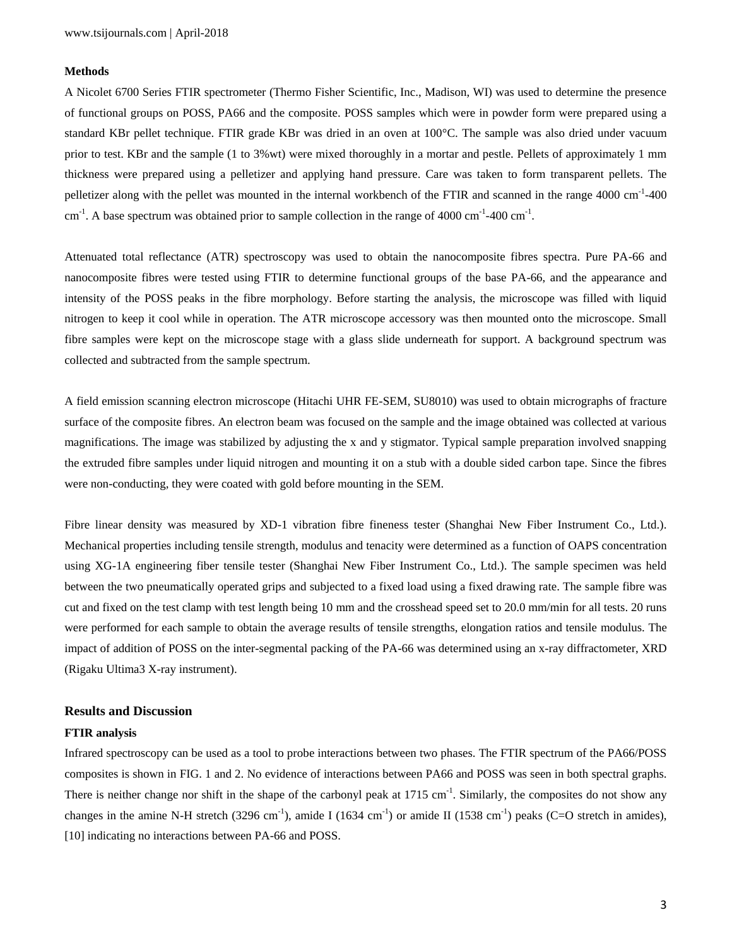## **Methods**

A Nicolet 6700 Series FTIR spectrometer (Thermo Fisher Scientific, Inc., Madison, WI) was used to determine the presence of functional groups on POSS, PA66 and the composite. POSS samples which were in powder form were prepared using a standard KBr pellet technique. FTIR grade KBr was dried in an oven at 100°C. The sample was also dried under vacuum prior to test. KBr and the sample (1 to 3%wt) were mixed thoroughly in a mortar and pestle. Pellets of approximately 1 mm thickness were prepared using a pelletizer and applying hand pressure. Care was taken to form transparent pellets. The pelletizer along with the pellet was mounted in the internal workbench of the FTIR and scanned in the range 4000 cm<sup>-1</sup>-400 cm<sup>-1</sup>. A base spectrum was obtained prior to sample collection in the range of 4000 cm<sup>-1</sup>-400 cm<sup>-1</sup>.

Attenuated total reflectance (ATR) spectroscopy was used to obtain the nanocomposite fibres spectra. Pure PA-66 and nanocomposite fibres were tested using FTIR to determine functional groups of the base PA-66, and the appearance and intensity of the POSS peaks in the fibre morphology. Before starting the analysis, the microscope was filled with liquid nitrogen to keep it cool while in operation. The ATR microscope accessory was then mounted onto the microscope. Small fibre samples were kept on the microscope stage with a glass slide underneath for support. A background spectrum was collected and subtracted from the sample spectrum.

A field emission scanning electron microscope (Hitachi UHR FE-SEM, SU8010) was used to obtain micrographs of fracture surface of the composite fibres. An electron beam was focused on the sample and the image obtained was collected at various magnifications. The image was stabilized by adjusting the x and y stigmator. Typical sample preparation involved snapping the extruded fibre samples under liquid nitrogen and mounting it on a stub with a double sided carbon tape. Since the fibres were non-conducting, they were coated with gold before mounting in the SEM.

Fibre linear density was measured by XD-1 vibration fibre fineness tester (Shanghai New Fiber Instrument Co., Ltd.). Mechanical properties including tensile strength, modulus and tenacity were determined as a function of OAPS concentration using XG-1A engineering fiber tensile tester (Shanghai New Fiber Instrument Co., Ltd.). The sample specimen was held between the two pneumatically operated grips and subjected to a fixed load using a fixed drawing rate. The sample fibre was cut and fixed on the test clamp with test length being 10 mm and the crosshead speed set to 20.0 mm/min for all tests. 20 runs were performed for each sample to obtain the average results of tensile strengths, elongation ratios and tensile modulus. The impact of addition of POSS on the inter-segmental packing of the PA-66 was determined using an x-ray diffractometer, XRD (Rigaku Ultima3 X-ray instrument).

#### **Results and Discussion**

#### **FTIR analysis**

Infrared spectroscopy can be used as a tool to probe interactions between two phases. The FTIR spectrum of the PA66/POSS composites is shown in FIG. 1 and 2. No evidence of interactions between PA66 and POSS was seen in both spectral graphs. There is neither change nor shift in the shape of the carbonyl peak at  $1715 \text{ cm}^{-1}$ . Similarly, the composites do not show any changes in the amine N-H stretch (3296 cm<sup>-1</sup>), amide I (1634 cm<sup>-1</sup>) or amide II (1538 cm<sup>-1</sup>) peaks (C=O stretch in amides), [10] indicating no interactions between PA-66 and POSS.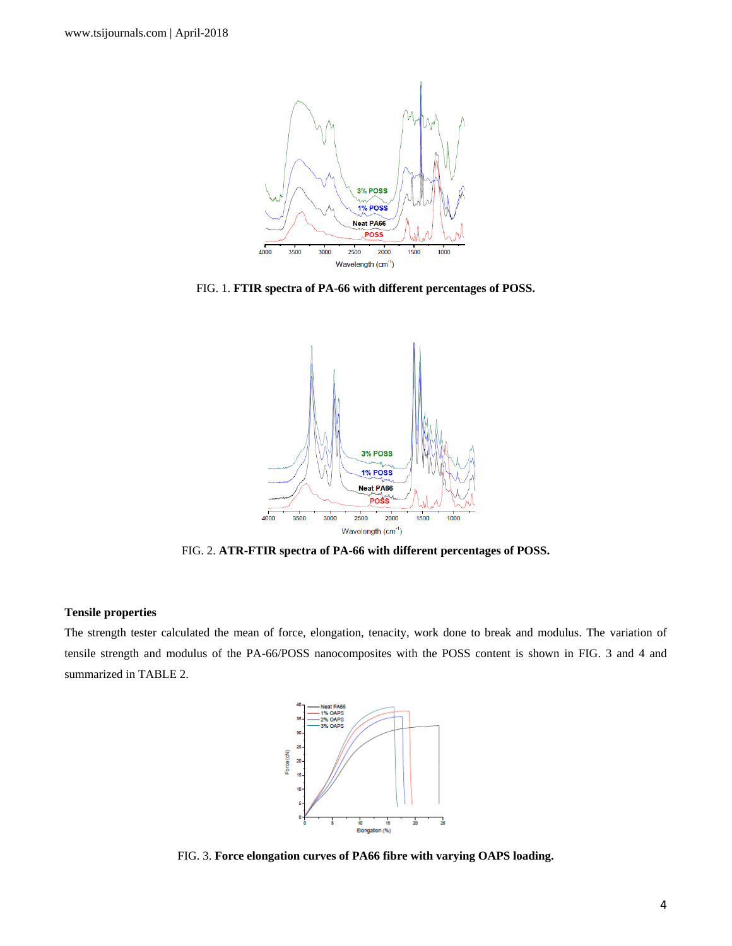

FIG. 1. **FTIR spectra of PA-66 with different percentages of POSS.**



FIG. 2. **ATR-FTIR spectra of PA-66 with different percentages of POSS.**

### **Tensile properties**

The strength tester calculated the mean of force, elongation, tenacity, work done to break and modulus. The variation of tensile strength and modulus of the PA-66/POSS nanocomposites with the POSS content is shown in FIG. 3 and 4 and summarized in TABLE 2.



FIG. 3. **Force elongation curves of PA66 fibre with varying OAPS loading.**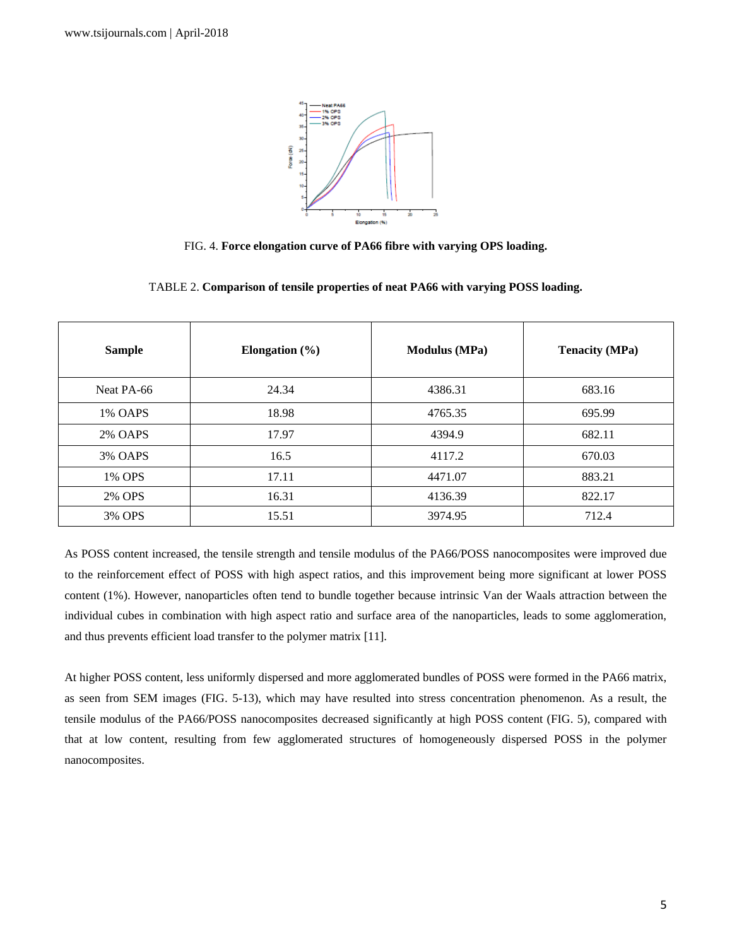

FIG. 4. **Force elongation curve of PA66 fibre with varying OPS loading.**

| <b>Sample</b>  | Elongation $(\% )$ | <b>Modulus</b> (MPa) | <b>Tenacity (MPa)</b> |
|----------------|--------------------|----------------------|-----------------------|
| Neat PA-66     | 24.34              | 4386.31              | 683.16                |
| 1% OAPS        | 18.98              | 4765.35              | 695.99                |
| <b>2% OAPS</b> | 17.97              | 4394.9               | 682.11                |
| 3% OAPS        | 16.5               | 4117.2               | 670.03                |
| 1% OPS         | 17.11              | 4471.07              | 883.21                |
| 2% OPS         | 16.31              | 4136.39              | 822.17                |
| 3% OPS         | 15.51              | 3974.95              | 712.4                 |

TABLE 2. **Comparison of tensile properties of neat PA66 with varying POSS loading.**

As POSS content increased, the tensile strength and tensile modulus of the PA66/POSS nanocomposites were improved due to the reinforcement effect of POSS with high aspect ratios, and this improvement being more significant at lower POSS content (1%). However, nanoparticles often tend to bundle together because intrinsic Van der Waals attraction between the individual cubes in combination with high aspect ratio and surface area of the nanoparticles, leads to some agglomeration, and thus prevents efficient load transfer to the polymer matrix [11].

At higher POSS content, less uniformly dispersed and more agglomerated bundles of POSS were formed in the PA66 matrix, as seen from SEM images (FIG. 5-13), which may have resulted into stress concentration phenomenon. As a result, the tensile modulus of the PA66/POSS nanocomposites decreased significantly at high POSS content (FIG. 5), compared with that at low content, resulting from few agglomerated structures of homogeneously dispersed POSS in the polymer nanocomposites.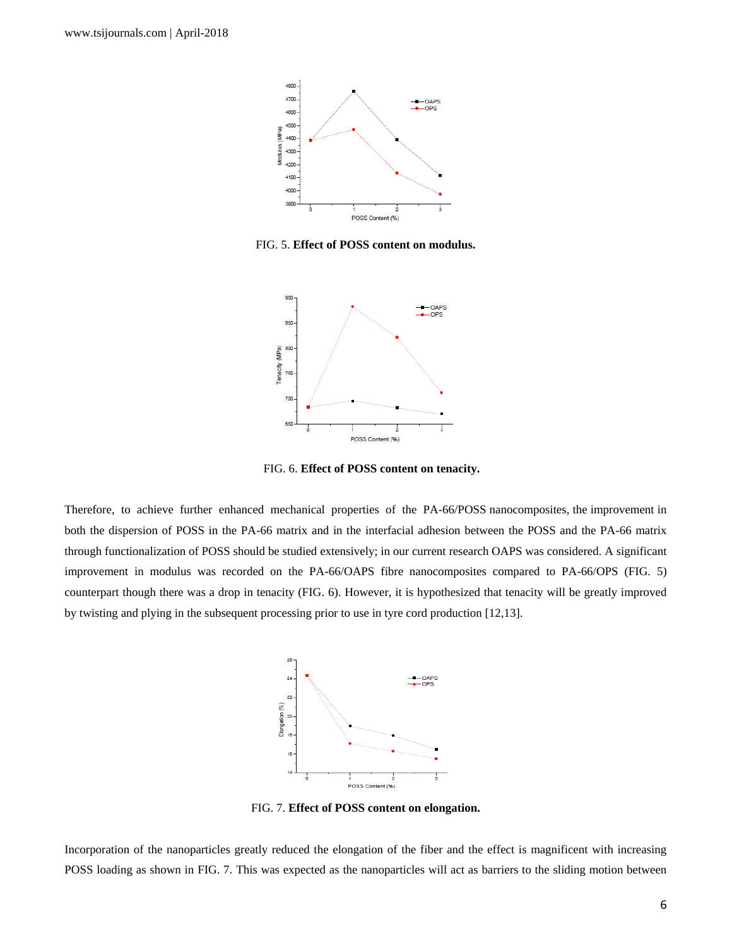

FIG. 5. **Effect of POSS content on modulus.**



FIG. 6. **Effect of POSS content on tenacity.**

Therefore, to achieve further enhanced mechanical properties of the PA-66/POSS nanocomposites, the improvement in both the dispersion of POSS in the PA-66 matrix and in the interfacial adhesion between the POSS and the PA-66 matrix through functionalization of POSS should be studied extensively; in our current research OAPS was considered. A significant improvement in modulus was recorded on the PA-66/OAPS fibre nanocomposites compared to PA-66/OPS (FIG. 5) counterpart though there was a drop in tenacity (FIG. 6). However, it is hypothesized that tenacity will be greatly improved by twisting and plying in the subsequent processing prior to use in tyre cord production [12,13].



FIG. 7. **Effect of POSS content on elongation.**

Incorporation of the nanoparticles greatly reduced the elongation of the fiber and the effect is magnificent with increasing POSS loading as shown in FIG. 7. This was expected as the nanoparticles will act as barriers to the sliding motion between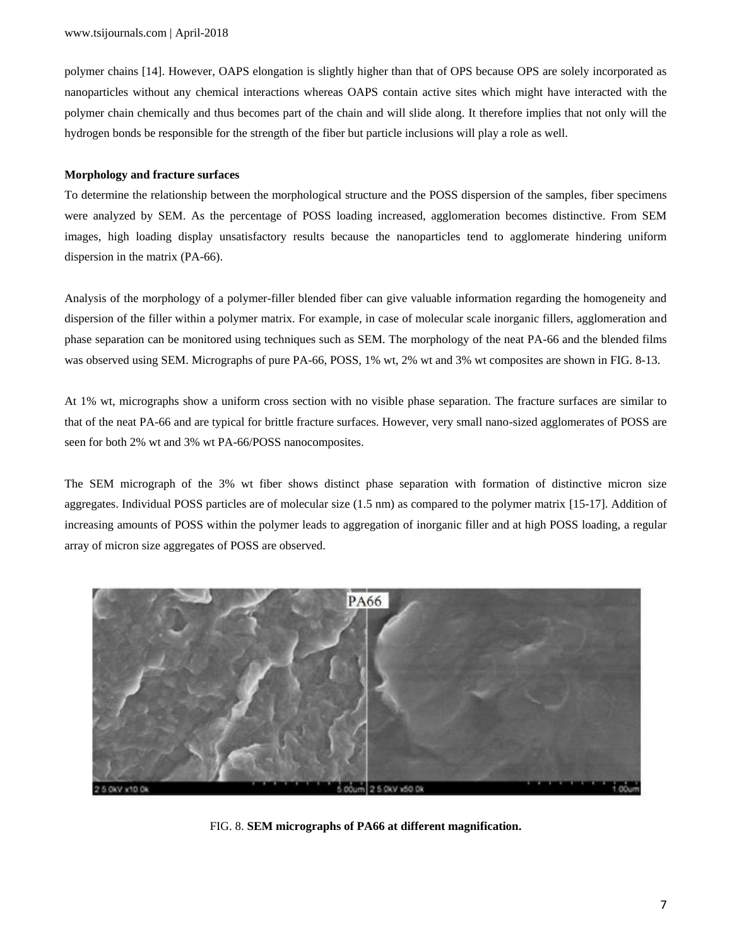polymer chains [14]. However, OAPS elongation is slightly higher than that of OPS because OPS are solely incorporated as nanoparticles without any chemical interactions whereas OAPS contain active sites which might have interacted with the polymer chain chemically and thus becomes part of the chain and will slide along. It therefore implies that not only will the hydrogen bonds be responsible for the strength of the fiber but particle inclusions will play a role as well.

## **Morphology and fracture surfaces**

To determine the relationship between the morphological structure and the POSS dispersion of the samples, fiber specimens were analyzed by SEM. As the percentage of POSS loading increased, agglomeration becomes distinctive. From SEM images, high loading display unsatisfactory results because the nanoparticles tend to agglomerate hindering uniform dispersion in the matrix (PA-66).

Analysis of the morphology of a polymer-filler blended fiber can give valuable information regarding the homogeneity and dispersion of the filler within a polymer matrix. For example, in case of molecular scale inorganic fillers, agglomeration and phase separation can be monitored using techniques such as SEM. The morphology of the neat PA-66 and the blended films was observed using SEM. Micrographs of pure PA-66, POSS, 1% wt, 2% wt and 3% wt composites are shown in FIG. 8-13.

At 1% wt, micrographs show a uniform cross section with no visible phase separation. The fracture surfaces are similar to that of the neat PA-66 and are typical for brittle fracture surfaces. However, very small nano-sized agglomerates of POSS are seen for both 2% wt and 3% wt PA-66/POSS nanocomposites.

The SEM micrograph of the 3% wt fiber shows distinct phase separation with formation of distinctive micron size aggregates. Individual POSS particles are of molecular size (1.5 nm) as compared to the polymer matrix [15-17]. Addition of increasing amounts of POSS within the polymer leads to aggregation of inorganic filler and at high POSS loading, a regular array of micron size aggregates of POSS are observed.



FIG. 8. **SEM micrographs of PA66 at different magnification.**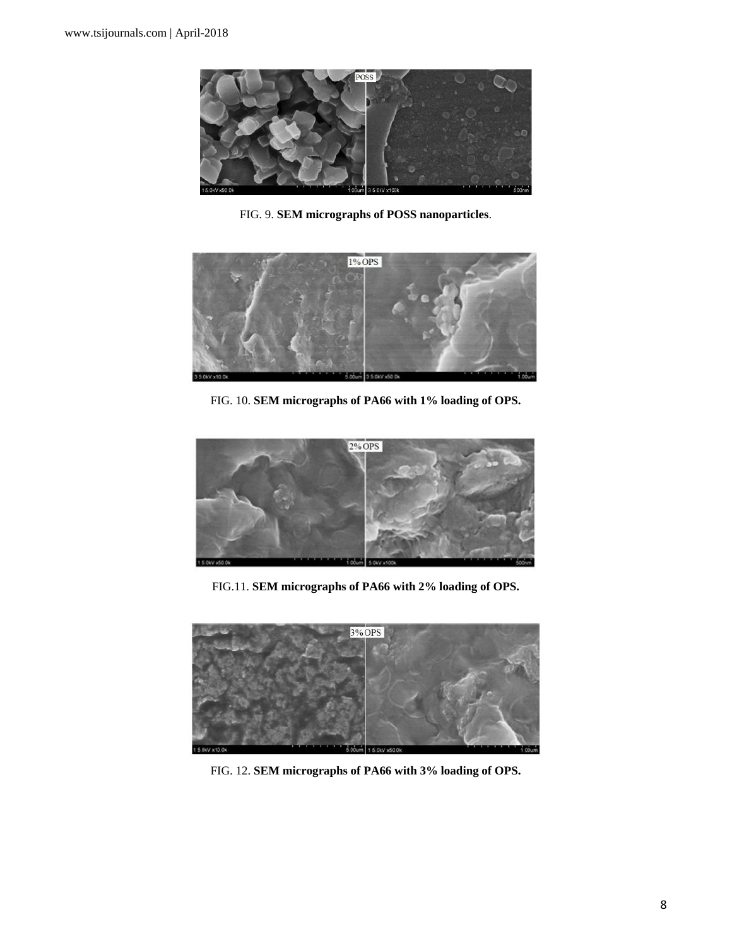

FIG. 9. **SEM micrographs of POSS nanoparticles**.



FIG. 10. **SEM micrographs of PA66 with 1% loading of OPS.**



FIG.11. **SEM micrographs of PA66 with 2% loading of OPS.**



FIG. 12. **SEM micrographs of PA66 with 3% loading of OPS.**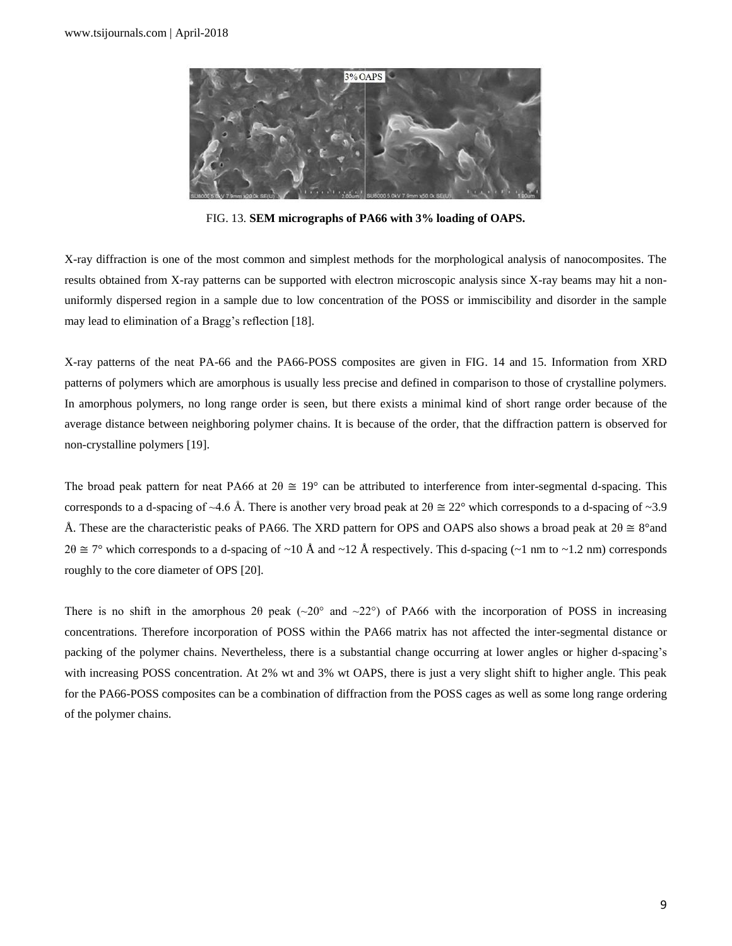

FIG. 13. **SEM micrographs of PA66 with 3% loading of OAPS.**

X-ray diffraction is one of the most common and simplest methods for the morphological analysis of nanocomposites. The results obtained from X-ray patterns can be supported with electron microscopic analysis since X-ray beams may hit a nonuniformly dispersed region in a sample due to low concentration of the POSS or immiscibility and disorder in the sample may lead to elimination of a Bragg's reflection [18].

X-ray patterns of the neat PA-66 and the PA66-POSS composites are given in FIG. 14 and 15. Information from XRD patterns of polymers which are amorphous is usually less precise and defined in comparison to those of crystalline polymers. In amorphous polymers, no long range order is seen, but there exists a minimal kind of short range order because of the average distance between neighboring polymer chains. It is because of the order, that the diffraction pattern is observed for non-crystalline polymers [19].

The broad peak pattern for neat PA66 at  $2\theta \approx 19^{\circ}$  can be attributed to interference from inter-segmental d-spacing. This corresponds to a d-spacing of ~4.6 Å. There is another very broad peak at  $2\theta \approx 22^{\circ}$  which corresponds to a d-spacing of ~3.9 Å. These are the characteristic peaks of PA66. The XRD pattern for OPS and OAPS also shows a broad peak at  $2\theta \approx 8^{\circ}$  and  $2\theta \cong 7^{\circ}$  which corresponds to a d-spacing of ~10 Å and ~12 Å respectively. This d-spacing (~1 nm to ~1.2 nm) corresponds roughly to the core diameter of OPS [20].

There is no shift in the amorphous 20 peak ( $\sim$ 20° and  $\sim$ 22°) of PA66 with the incorporation of POSS in increasing concentrations. Therefore incorporation of POSS within the PA66 matrix has not affected the inter-segmental distance or packing of the polymer chains. Nevertheless, there is a substantial change occurring at lower angles or higher d-spacing's with increasing POSS concentration. At 2% wt and 3% wt OAPS, there is just a very slight shift to higher angle. This peak for the PA66-POSS composites can be a combination of diffraction from the POSS cages as well as some long range ordering of the polymer chains.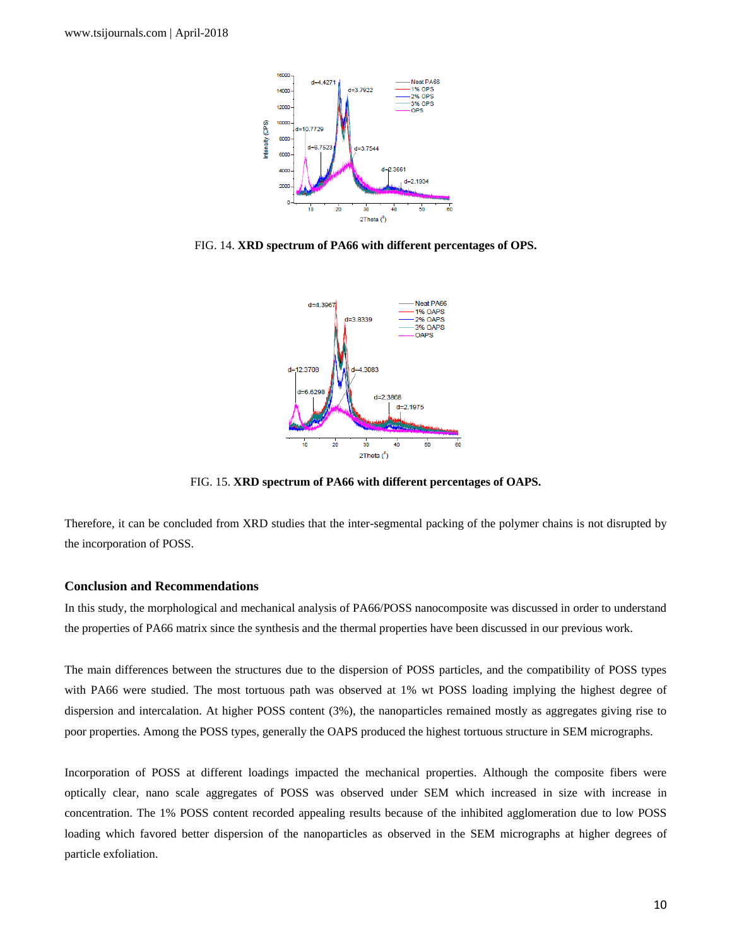

FIG. 14. **XRD spectrum of PA66 with different percentages of OPS.**



FIG. 15. **XRD spectrum of PA66 with different percentages of OAPS.**

Therefore, it can be concluded from XRD studies that the inter-segmental packing of the polymer chains is not disrupted by the incorporation of POSS.

### **Conclusion and Recommendations**

In this study, the morphological and mechanical analysis of PA66/POSS nanocomposite was discussed in order to understand the properties of PA66 matrix since the synthesis and the thermal properties have been discussed in our previous work.

The main differences between the structures due to the dispersion of POSS particles, and the compatibility of POSS types with PA66 were studied. The most tortuous path was observed at 1% wt POSS loading implying the highest degree of dispersion and intercalation. At higher POSS content (3%), the nanoparticles remained mostly as aggregates giving rise to poor properties. Among the POSS types, generally the OAPS produced the highest tortuous structure in SEM micrographs.

Incorporation of POSS at different loadings impacted the mechanical properties. Although the composite fibers were optically clear, nano scale aggregates of POSS was observed under SEM which increased in size with increase in concentration. The 1% POSS content recorded appealing results because of the inhibited agglomeration due to low POSS loading which favored better dispersion of the nanoparticles as observed in the SEM micrographs at higher degrees of particle exfoliation.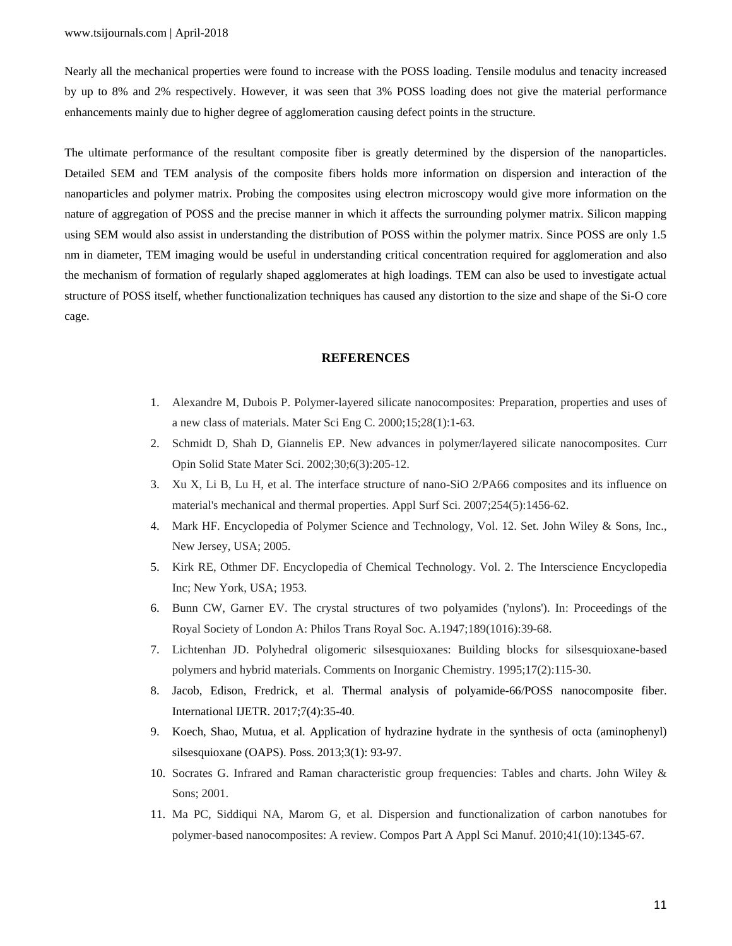Nearly all the mechanical properties were found to increase with the POSS loading. Tensile modulus and tenacity increased by up to 8% and 2% respectively. However, it was seen that 3% POSS loading does not give the material performance enhancements mainly due to higher degree of agglomeration causing defect points in the structure.

The ultimate performance of the resultant composite fiber is greatly determined by the dispersion of the nanoparticles. Detailed SEM and TEM analysis of the composite fibers holds more information on dispersion and interaction of the nanoparticles and polymer matrix. Probing the composites using electron microscopy would give more information on the nature of aggregation of POSS and the precise manner in which it affects the surrounding polymer matrix. Silicon mapping using SEM would also assist in understanding the distribution of POSS within the polymer matrix. Since POSS are only 1.5 nm in diameter, TEM imaging would be useful in understanding critical concentration required for agglomeration and also the mechanism of formation of regularly shaped agglomerates at high loadings. TEM can also be used to investigate actual structure of POSS itself, whether functionalization techniques has caused any distortion to the size and shape of the Si-O core cage.

## **REFERENCES**

- 1. Alexandre M, Dubois P. Polymer-layered silicate nanocomposites: Preparation, properties and uses of a new class of materials. Mater Sci Eng C. 2000;15;28(1):1-63.
- 2. Schmidt D, Shah D, Giannelis EP. New advances in polymer/layered silicate nanocomposites. Curr Opin Solid State Mater Sci. 2002;30;6(3):205-12.
- 3. Xu X, Li B, Lu H, et al. The interface structure of nano-SiO 2/PA66 composites and its influence on material's mechanical and thermal properties. Appl Surf Sci. 2007;254(5):1456-62.
- 4. Mark HF. Encyclopedia of Polymer Science and Technology, Vol. 12. Set. John Wiley & Sons, Inc., New Jersey, USA; 2005.
- 5. Kirk RE, Othmer DF. Encyclopedia of Chemical Technology. Vol. 2. The Interscience Encyclopedia Inc; New York, USA; 1953.
- 6. Bunn CW, Garner EV. The crystal structures of two polyamides ('nylons'). In: Proceedings of the Royal Society of London A: Philos Trans Royal Soc. A.1947;189(1016):39-68.
- 7. Lichtenhan JD. Polyhedral oligomeric silsesquioxanes: Building blocks for silsesquioxane-based polymers and hybrid materials. Comments on Inorganic Chemistry. 1995;17(2):115-30.
- 8. Jacob, Edison, Fredrick, et al. Thermal analysis of polyamide-66/POSS nanocomposite fiber. International IJETR. 2017;7(4):35-40.
- 9. Koech, Shao, Mutua, et al. Application of hydrazine hydrate in the synthesis of octa (aminophenyl) silsesquioxane (OAPS). Poss. 2013;3(1): 93-97.
- 10. Socrates G. Infrared and Raman characteristic group frequencies: Tables and charts. John Wiley & Sons; 2001.
- 11. Ma PC, Siddiqui NA, Marom G, et al. Dispersion and functionalization of carbon nanotubes for polymer-based nanocomposites: A review. Compos Part A Appl Sci Manuf. 2010;41(10):1345-67.